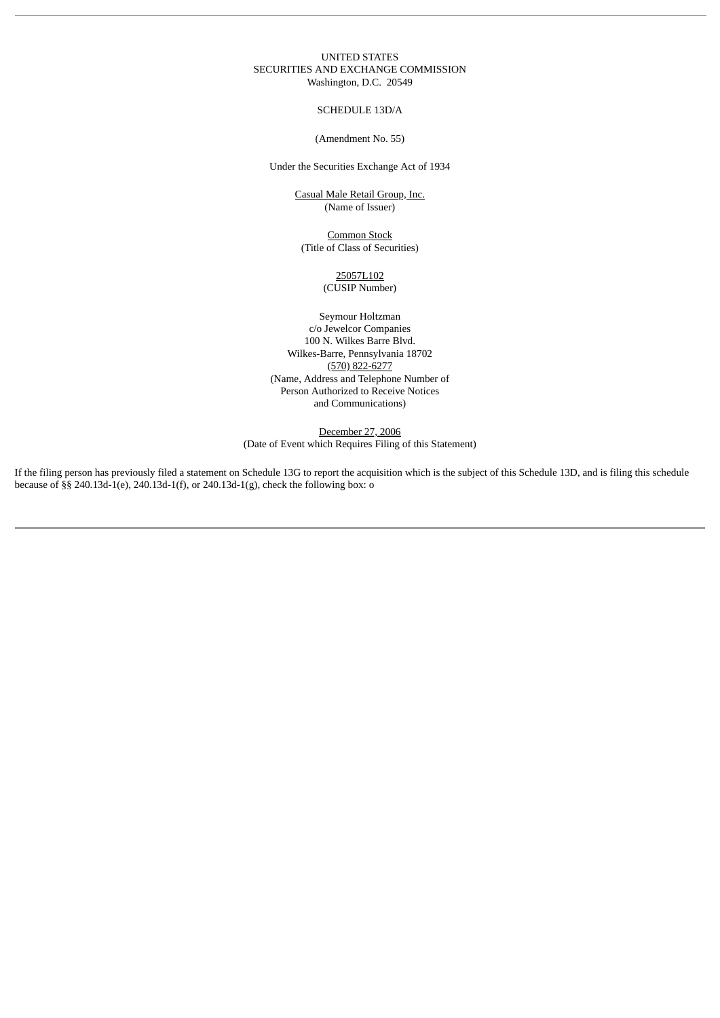#### UNITED STATES SECURITIES AND EXCHANGE COMMISSION Washington, D.C. 20549

#### SCHEDULE 13D/A

### (Amendment No. 55)

Under the Securities Exchange Act of 1934

Casual Male Retail Group, Inc. (Name of Issuer)

Common Stock (Title of Class of Securities)

> 25057L102 (CUSIP Number)

Seymour Holtzman c/o Jewelcor Companies 100 N. Wilkes Barre Blvd. Wilkes-Barre, Pennsylvania 18702 (570) 822-6277 (Name, Address and Telephone Number of Person Authorized to Receive Notices and Communications)

December 27, 2006 (Date of Event which Requires Filing of this Statement)

If the filing person has previously filed a statement on Schedule 13G to report the acquisition which is the subject of this Schedule 13D, and is filing this schedule because of §§ 240.13d-1(e), 240.13d-1(f), or 240.13d-1(g), check the following box: o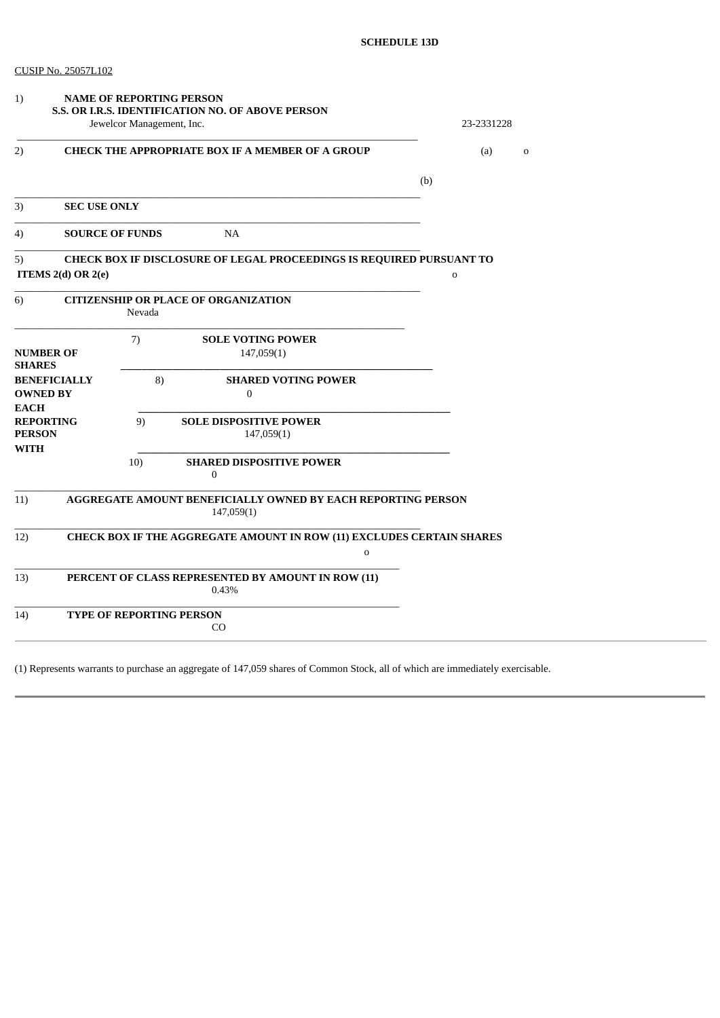| 1)                                                    | <b>NAME OF REPORTING PERSON</b><br>Jewelcor Management, Inc. | S.S. OR I.R.S. IDENTIFICATION NO. OF ABOVE PERSON                                    |     | 23-2331228 |             |
|-------------------------------------------------------|--------------------------------------------------------------|--------------------------------------------------------------------------------------|-----|------------|-------------|
| 2)                                                    |                                                              | <b>CHECK THE APPROPRIATE BOX IF A MEMBER OF A GROUP</b>                              |     | (a)        | $\mathbf 0$ |
|                                                       |                                                              |                                                                                      | (b) |            |             |
| 3)<br><b>SEC USE ONLY</b>                             |                                                              |                                                                                      |     |            |             |
| <b>SOURCE OF FUNDS</b><br>4)                          |                                                              | NA                                                                                   |     |            |             |
| 5)<br>ITEMS $2(d)$ OR $2(e)$                          |                                                              | CHECK BOX IF DISCLOSURE OF LEGAL PROCEEDINGS IS REQUIRED PURSUANT TO                 |     | 0          |             |
| 6)                                                    | Nevada                                                       | <b>CITIZENSHIP OR PLACE OF ORGANIZATION</b>                                          |     |            |             |
|                                                       | 7)                                                           | <b>SOLE VOTING POWER</b>                                                             |     |            |             |
| <b>NUMBER OF</b><br><b>SHARES</b>                     |                                                              | 147,059(1)                                                                           |     |            |             |
| <b>BENEFICIALLY</b><br><b>OWNED BY</b><br><b>EACH</b> | 8)                                                           | <b>SHARED VOTING POWER</b><br>$\boldsymbol{0}$                                       |     |            |             |
| <b>REPORTING</b><br><b>PERSON</b>                     | 9)                                                           | <b>SOLE DISPOSITIVE POWER</b><br>147,059(1)                                          |     |            |             |
| <b>WITH</b>                                           | 10)                                                          | <b>SHARED DISPOSITIVE POWER</b><br>$\Omega$                                          |     |            |             |
| 11)                                                   |                                                              | AGGREGATE AMOUNT BENEFICIALLY OWNED BY EACH REPORTING PERSON<br>147,059(1)           |     |            |             |
| 12)                                                   |                                                              | CHECK BOX IF THE AGGREGATE AMOUNT IN ROW (11) EXCLUDES CERTAIN SHARES<br>$\mathbf 0$ |     |            |             |
| 13)                                                   |                                                              | PERCENT OF CLASS REPRESENTED BY AMOUNT IN ROW (11)<br>0.43%                          |     |            |             |
| 14)                                                   | <b>TYPE OF REPORTING PERSON</b>                              | CO                                                                                   |     |            |             |

(1) Represents warrants to purchase an aggregate of 147,059 shares of Common Stock, all of which are immediately exercisable.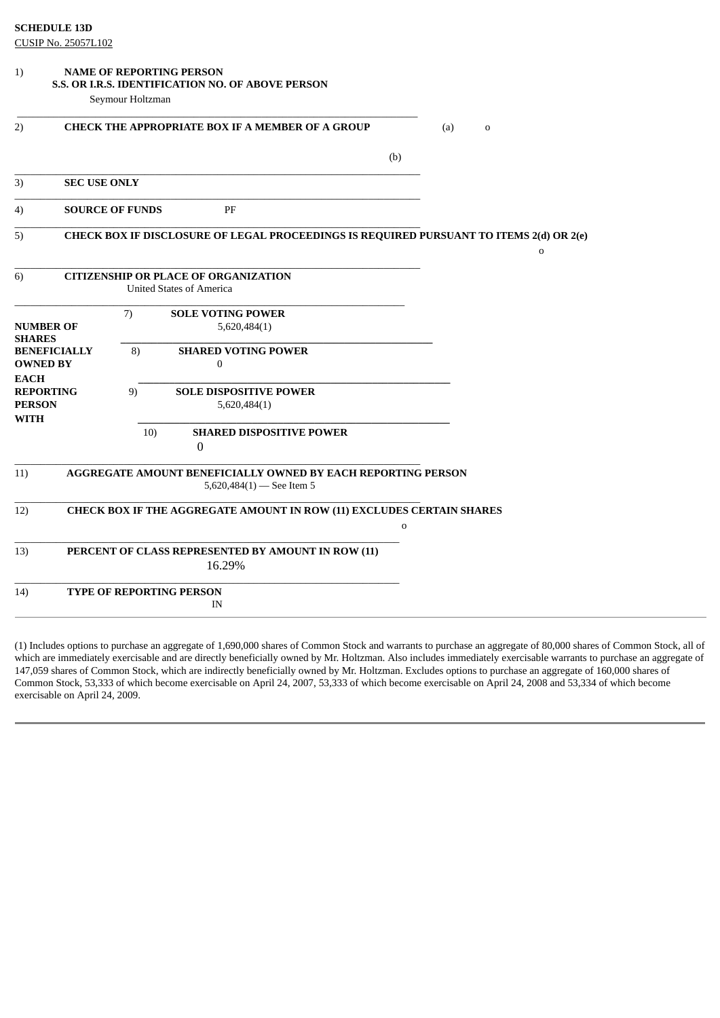#### **SCHEDULE 13D**

CUSIP No. 25057L102

| 1)<br><b>NAME OF REPORTING PERSON</b><br>S.S. OR I.R.S. IDENTIFICATION NO. OF ABOVE PERSON              |                    |
|---------------------------------------------------------------------------------------------------------|--------------------|
| Seymour Holtzman                                                                                        |                    |
| <b>CHECK THE APPROPRIATE BOX IF A MEMBER OF A GROUP</b><br>2)                                           | (a)<br>$\mathbf 0$ |
| (b)                                                                                                     |                    |
| <b>SEC USE ONLY</b><br>3)                                                                               |                    |
| PF<br><b>SOURCE OF FUNDS</b><br>4)                                                                      |                    |
| CHECK BOX IF DISCLOSURE OF LEGAL PROCEEDINGS IS REQUIRED PURSUANT TO ITEMS 2(d) OR 2(e)<br>5)           | $\mathbf 0$        |
| <b>CITIZENSHIP OR PLACE OF ORGANIZATION</b><br>6)<br><b>United States of America</b>                    |                    |
| 7)<br><b>SOLE VOTING POWER</b>                                                                          |                    |
| <b>NUMBER OF</b><br>5,620,484(1)<br><b>SHARES</b>                                                       |                    |
| <b>BENEFICIALLY</b><br>8)<br><b>SHARED VOTING POWER</b><br>$\mathbf{0}$<br><b>OWNED BY</b>              |                    |
| <b>EACH</b>                                                                                             |                    |
| <b>SOLE DISPOSITIVE POWER</b><br><b>REPORTING</b><br>9)                                                 |                    |
| <b>PERSON</b><br>5,620,484(1)                                                                           |                    |
| <b>WITH</b>                                                                                             |                    |
| 10)<br><b>SHARED DISPOSITIVE POWER</b>                                                                  |                    |
| $\mathbf{0}$                                                                                            |                    |
| 11)<br><b>AGGREGATE AMOUNT BENEFICIALLY OWNED BY EACH REPORTING PERSON</b><br>5,620,484(1) – See Item 5 |                    |
| <b>CHECK BOX IF THE AGGREGATE AMOUNT IN ROW (11) EXCLUDES CERTAIN SHARES</b><br>12)                     |                    |
| $\mathbf{o}$                                                                                            |                    |
| PERCENT OF CLASS REPRESENTED BY AMOUNT IN ROW (11)<br>13)                                               |                    |
| 16.29%                                                                                                  |                    |
| <b>TYPE OF REPORTING PERSON</b><br>14)                                                                  |                    |
| IN                                                                                                      |                    |

(1) Includes options to purchase an aggregate of 1,690,000 shares of Common Stock and warrants to purchase an aggregate of 80,000 shares of Common Stock, all of which are immediately exercisable and are directly beneficially owned by Mr. Holtzman. Also includes immediately exercisable warrants to purchase an aggregate of 147,059 shares of Common Stock, which are indirectly beneficially owned by Mr. Holtzman. Excludes options to purchase an aggregate of 160,000 shares of Common Stock, 53,333 of which become exercisable on April 24, 2007, 53,333 of which become exercisable on April 24, 2008 and 53,334 of which become exercisable on April 24, 2009.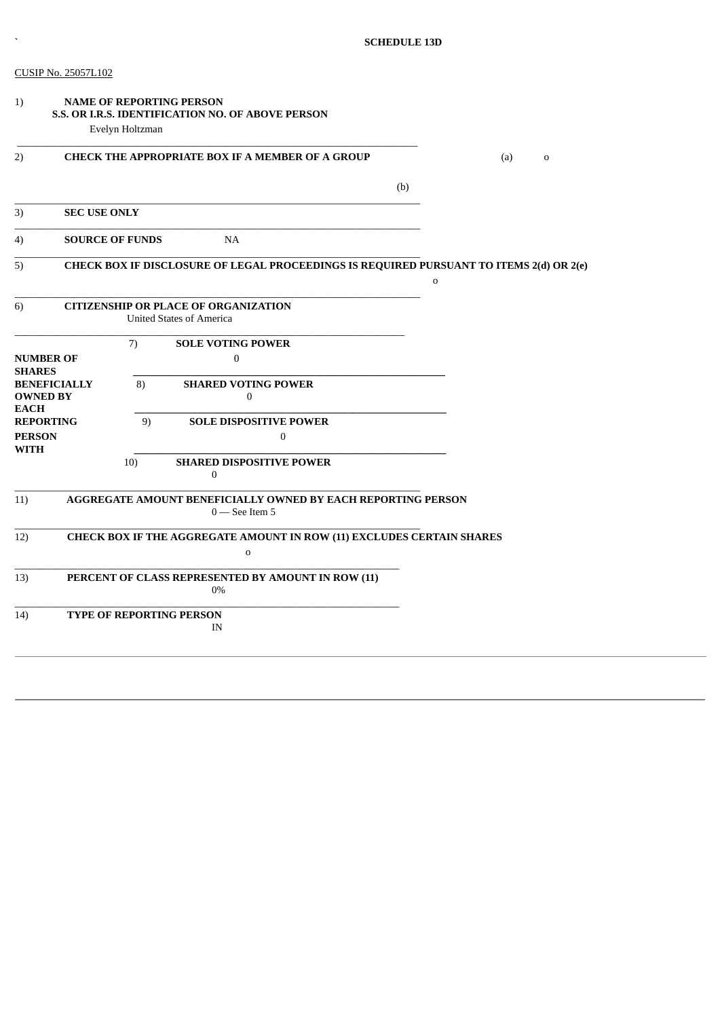CUSIP No. 25057L102

| 1)                           | <b>NAME OF REPORTING PERSON</b><br>S.S. OR I.R.S. IDENTIFICATION NO. OF ABOVE PERSON<br>Evelyn Holtzman                                                                                                          |                    |
|------------------------------|------------------------------------------------------------------------------------------------------------------------------------------------------------------------------------------------------------------|--------------------|
| 2)                           | CHECK THE APPROPRIATE BOX IF A MEMBER OF A GROUP                                                                                                                                                                 | (a)<br>$\mathbf 0$ |
|                              | (b)                                                                                                                                                                                                              |                    |
| 3)                           | <b>SEC USE ONLY</b>                                                                                                                                                                                              |                    |
| 4)                           | <b>SOURCE OF FUNDS</b><br><b>NA</b>                                                                                                                                                                              |                    |
| 5)                           | CHECK BOX IF DISCLOSURE OF LEGAL PROCEEDINGS IS REQUIRED PURSUANT TO ITEMS 2(d) OR 2(e)                                                                                                                          | $\mathbf 0$        |
| 6)                           | <b>CITIZENSHIP OR PLACE OF ORGANIZATION</b><br><b>United States of America</b>                                                                                                                                   |                    |
| <b>SHARES</b><br><b>EACH</b> | 7)<br><b>SOLE VOTING POWER</b><br><b>NUMBER OF</b><br>0<br><b>BENEFICIALLY</b><br>8)<br><b>SHARED VOTING POWER</b><br><b>OWNED BY</b><br>$\mathbf{0}$<br><b>REPORTING</b><br>9)<br><b>SOLE DISPOSITIVE POWER</b> |                    |
| <b>PERSON</b><br>WITH        | $\boldsymbol{0}$<br><b>SHARED DISPOSITIVE POWER</b><br>10)                                                                                                                                                       |                    |
| 11)<br>12)                   | $\Omega$<br><b>AGGREGATE AMOUNT BENEFICIALLY OWNED BY EACH REPORTING PERSON</b><br>$0$ - See Item 5<br>CHECK BOX IF THE AGGREGATE AMOUNT IN ROW (11) EXCLUDES CERTAIN SHARES                                     |                    |
| 13)                          | o<br>PERCENT OF CLASS REPRESENTED BY AMOUNT IN ROW (11)<br>$0\%$                                                                                                                                                 |                    |
| 14)                          | <b>TYPE OF REPORTING PERSON</b><br>IN                                                                                                                                                                            |                    |
|                              |                                                                                                                                                                                                                  |                    |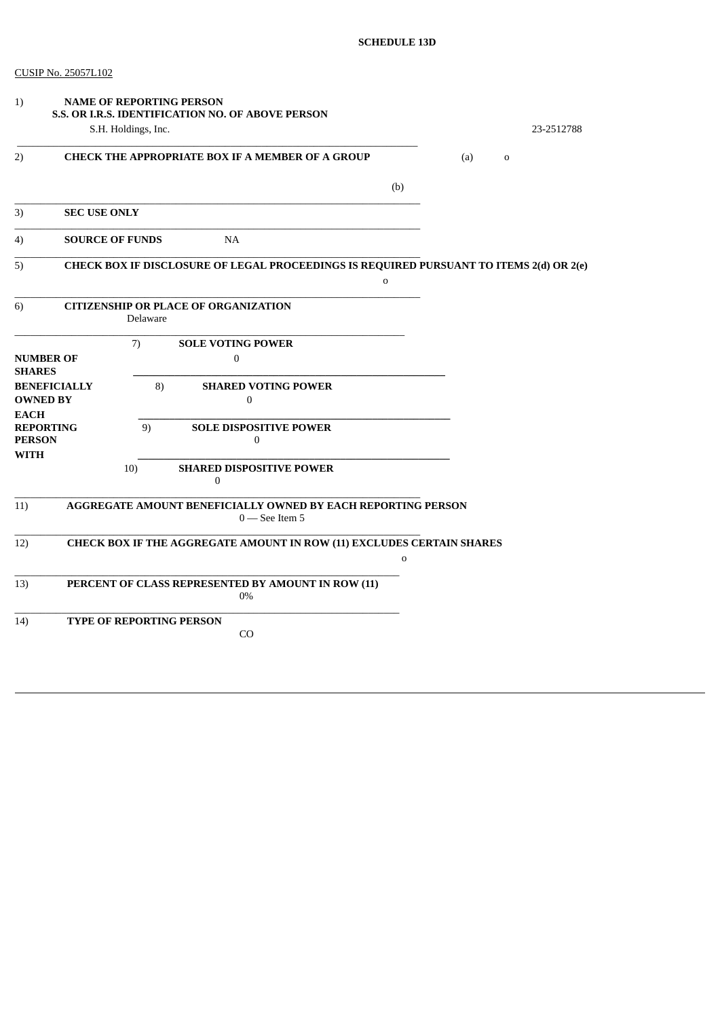CUSIP No. 25057L102

| 1)                                          | <b>NAME OF REPORTING PERSON</b><br>S.S. OR I.R.S. IDENTIFICATION NO. OF ABOVE PERSON<br>S.H. Holdings, Inc. |     |             | 23-2512788 |
|---------------------------------------------|-------------------------------------------------------------------------------------------------------------|-----|-------------|------------|
| 2)                                          | <b>CHECK THE APPROPRIATE BOX IF A MEMBER OF A GROUP</b>                                                     | (a) | $\mathbf 0$ |            |
|                                             | (b)                                                                                                         |     |             |            |
| 3)                                          | <b>SEC USE ONLY</b>                                                                                         |     |             |            |
| 4)                                          | <b>NA</b><br><b>SOURCE OF FUNDS</b>                                                                         |     |             |            |
| 5)                                          | CHECK BOX IF DISCLOSURE OF LEGAL PROCEEDINGS IS REQUIRED PURSUANT TO ITEMS 2(d) OR 2(e)<br>$\mathbf 0$      |     |             |            |
| 6)                                          | <b>CITIZENSHIP OR PLACE OF ORGANIZATION</b><br>Delaware                                                     |     |             |            |
|                                             | <b>SOLE VOTING POWER</b><br>7)                                                                              |     |             |            |
| <b>SHARES</b>                               | $\mathbf{0}$<br><b>NUMBER OF</b>                                                                            |     |             |            |
|                                             | 8)<br><b>BENEFICIALLY</b><br><b>SHARED VOTING POWER</b><br><b>OWNED BY</b><br>$\boldsymbol{0}$              |     |             |            |
| <b>EACH</b><br><b>PERSON</b><br><b>WITH</b> | 9)<br><b>REPORTING</b><br><b>SOLE DISPOSITIVE POWER</b><br>$\mathbf{0}$                                     |     |             |            |
|                                             | 10)<br><b>SHARED DISPOSITIVE POWER</b><br>$\Omega$                                                          |     |             |            |
| 11)                                         | <b>AGGREGATE AMOUNT BENEFICIALLY OWNED BY EACH REPORTING PERSON</b><br>$0$ – See Item 5                     |     |             |            |
| 12)                                         | CHECK BOX IF THE AGGREGATE AMOUNT IN ROW (11) EXCLUDES CERTAIN SHARES<br>$\mathbf{o}$                       |     |             |            |
| 13)                                         | PERCENT OF CLASS REPRESENTED BY AMOUNT IN ROW (11)<br>$0\%$                                                 |     |             |            |
| 14)                                         | <b>TYPE OF REPORTING PERSON</b><br>CO                                                                       |     |             |            |
|                                             |                                                                                                             |     |             |            |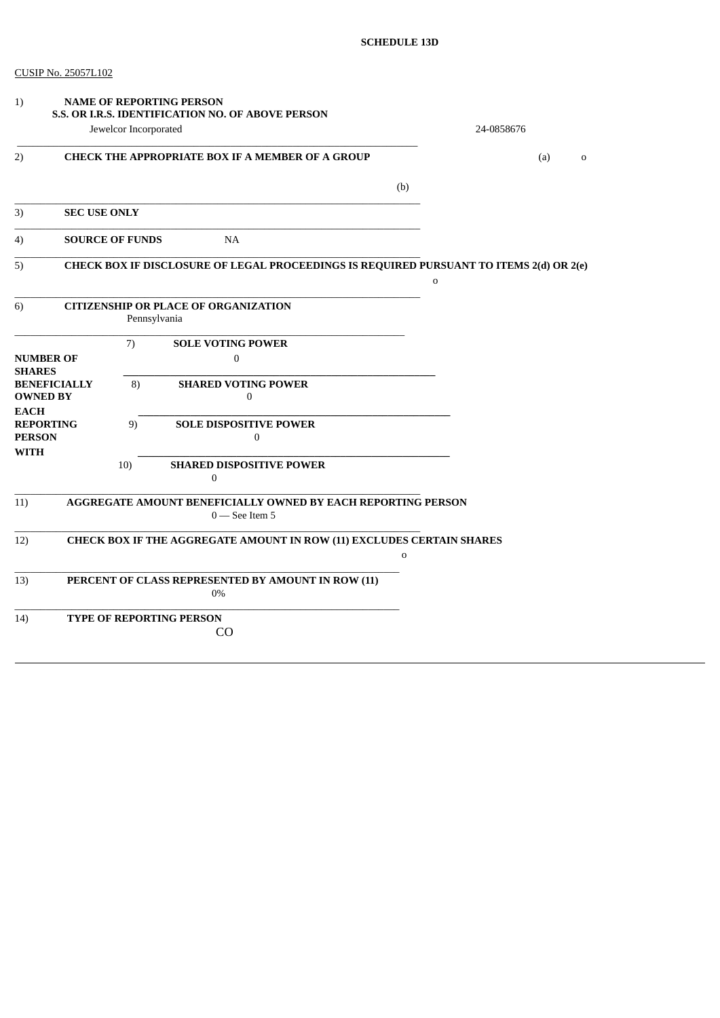CUSIP No. 25057L102

| 1)                           | <b>NAME OF REPORTING PERSON</b><br>S.S. OR I.R.S. IDENTIFICATION NO. OF ABOVE PERSON       |              |
|------------------------------|--------------------------------------------------------------------------------------------|--------------|
|                              | Jewelcor Incorporated                                                                      | 24-0858676   |
| 2)                           | CHECK THE APPROPRIATE BOX IF A MEMBER OF A GROUP                                           | (a)<br>0     |
|                              | (b)                                                                                        |              |
| 3)                           | <b>SEC USE ONLY</b>                                                                        |              |
| 4)                           | <b>NA</b><br><b>SOURCE OF FUNDS</b>                                                        |              |
| 5)                           | CHECK BOX IF DISCLOSURE OF LEGAL PROCEEDINGS IS REQUIRED PURSUANT TO ITEMS 2(d) OR 2(e)    | $\mathbf{o}$ |
| 6)                           | <b>CITIZENSHIP OR PLACE OF ORGANIZATION</b><br>Pennsylvania                                |              |
|                              | 7)<br><b>SOLE VOTING POWER</b>                                                             |              |
| <b>SHARES</b>                | $\boldsymbol{0}$<br><b>NUMBER OF</b>                                                       |              |
|                              | 8)<br><b>SHARED VOTING POWER</b><br><b>BENEFICIALLY</b><br><b>OWNED BY</b><br>$\mathbf{0}$ |              |
| <b>EACH</b><br><b>PERSON</b> | <b>REPORTING</b><br>9)<br><b>SOLE DISPOSITIVE POWER</b><br>0                               |              |
| <b>WITH</b>                  | 10)<br><b>SHARED DISPOSITIVE POWER</b><br>$\bf{0}$                                         |              |
| 11)                          | <b>AGGREGATE AMOUNT BENEFICIALLY OWNED BY EACH REPORTING PERSON</b><br>$0$ — See Item 5    |              |
| 12)                          | CHECK BOX IF THE AGGREGATE AMOUNT IN ROW (11) EXCLUDES CERTAIN SHARES<br>$\mathbf 0$       |              |
| 13)                          | PERCENT OF CLASS REPRESENTED BY AMOUNT IN ROW (11)<br>0%                                   |              |
| 14)                          | <b>TYPE OF REPORTING PERSON</b><br>CO                                                      |              |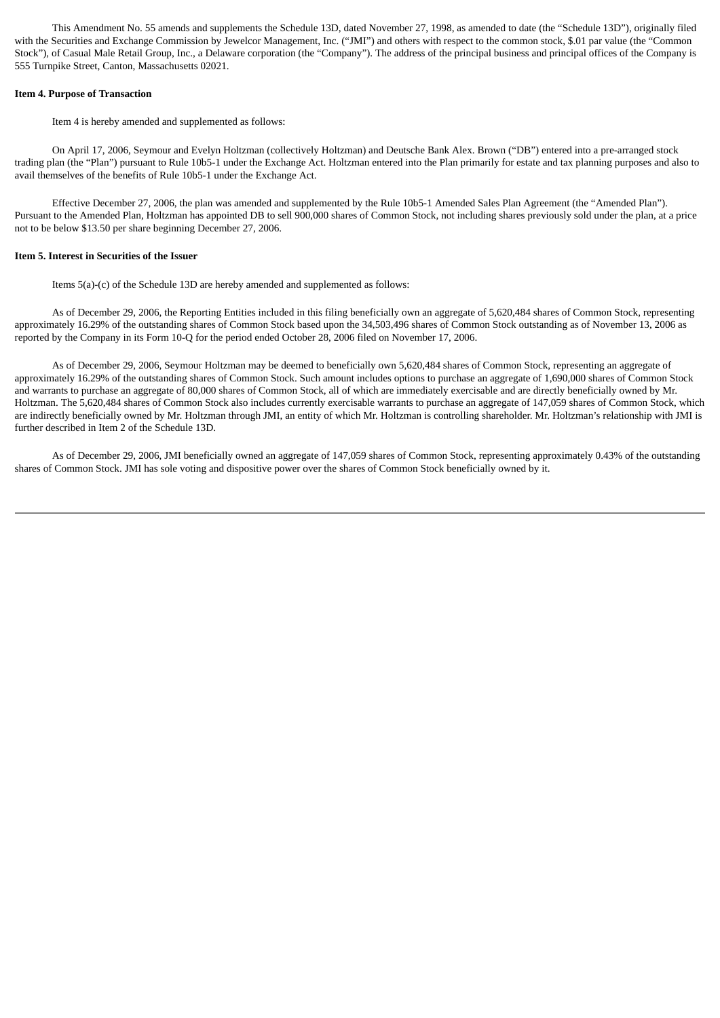This Amendment No. 55 amends and supplements the Schedule 13D, dated November 27, 1998, as amended to date (the "Schedule 13D"), originally filed with the Securities and Exchange Commission by Jewelcor Management, Inc. ("JMI") and others with respect to the common stock, \$.01 par value (the "Common Stock"), of Casual Male Retail Group, Inc., a Delaware corporation (the "Company"). The address of the principal business and principal offices of the Company is 555 Turnpike Street, Canton, Massachusetts 02021.

#### **Item 4. Purpose of Transaction**

Item 4 is hereby amended and supplemented as follows:

On April 17, 2006, Seymour and Evelyn Holtzman (collectively Holtzman) and Deutsche Bank Alex. Brown ("DB") entered into a pre-arranged stock trading plan (the "Plan") pursuant to Rule 10b5-1 under the Exchange Act. Holtzman entered into the Plan primarily for estate and tax planning purposes and also to avail themselves of the benefits of Rule 10b5-1 under the Exchange Act.

Effective December 27, 2006, the plan was amended and supplemented by the Rule 10b5-1 Amended Sales Plan Agreement (the "Amended Plan"). Pursuant to the Amended Plan, Holtzman has appointed DB to sell 900,000 shares of Common Stock, not including shares previously sold under the plan, at a price not to be below \$13.50 per share beginning December 27, 2006.

#### **Item 5. Interest in Securities of the Issuer**

Items 5(a)-(c) of the Schedule 13D are hereby amended and supplemented as follows:

As of December 29, 2006, the Reporting Entities included in this filing beneficially own an aggregate of 5,620,484 shares of Common Stock, representing approximately 16.29% of the outstanding shares of Common Stock based upon the 34,503,496 shares of Common Stock outstanding as of November 13, 2006 as reported by the Company in its Form 10-Q for the period ended October 28, 2006 filed on November 17, 2006.

As of December 29, 2006, Seymour Holtzman may be deemed to beneficially own 5,620,484 shares of Common Stock, representing an aggregate of approximately 16.29% of the outstanding shares of Common Stock. Such amount includes options to purchase an aggregate of 1,690,000 shares of Common Stock and warrants to purchase an aggregate of 80,000 shares of Common Stock, all of which are immediately exercisable and are directly beneficially owned by Mr. Holtzman. The 5,620,484 shares of Common Stock also includes currently exercisable warrants to purchase an aggregate of 147,059 shares of Common Stock, which are indirectly beneficially owned by Mr. Holtzman through JMI, an entity of which Mr. Holtzman is controlling shareholder. Mr. Holtzman's relationship with JMI is further described in Item 2 of the Schedule 13D.

As of December 29, 2006, JMI beneficially owned an aggregate of 147,059 shares of Common Stock, representing approximately 0.43% of the outstanding shares of Common Stock. JMI has sole voting and dispositive power over the shares of Common Stock beneficially owned by it.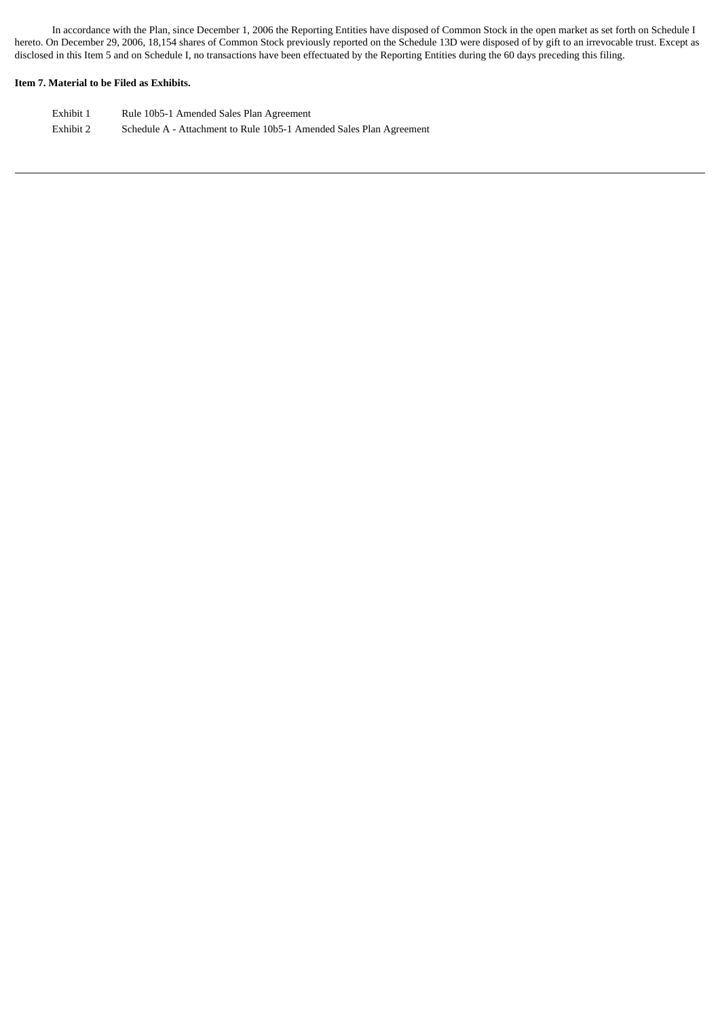In accordance with the Plan, since December 1, 2006 the Reporting Entities have disposed of Common Stock in the open market as set forth on Schedule I hereto. On December 29, 2006, 18,154 shares of Common Stock previously reported on the Schedule 13D were disposed of by gift to an irrevocable trust. Except as disclosed in this Item 5 and on Schedule I, no transactions have been effectuated by the Reporting Entities during the 60 days preceding this filing.

## **Item 7. Material to be Filed as Exhibits.**

| Exhibit 1 | Rule 10b5-1 Amended Sales Plan Agreement                            |
|-----------|---------------------------------------------------------------------|
| Exhibit 2 | Schedule A - Attachment to Rule 10b5-1 Amended Sales Plan Agreement |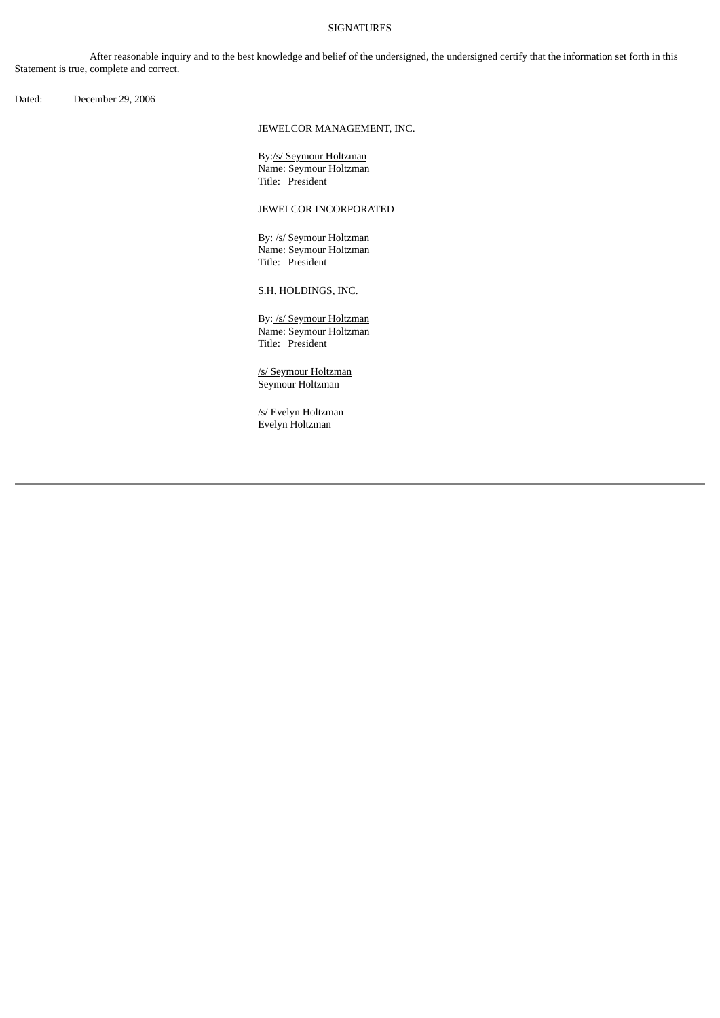### **SIGNATURES**

After reasonable inquiry and to the best knowledge and belief of the undersigned, the undersigned certify that the information set forth in this Statement is true, complete and correct.

Dated: December 29, 2006

## JEWELCOR MANAGEMENT, INC.

By:/s/ Seymour Holtzman Name: Seymour Holtzman Title: President

JEWELCOR INCORPORATED

By: /s/ Seymour Holtzman Name: Seymour Holtzman Title: President

S.H. HOLDINGS, INC.

By: /s/ Seymour Holtzman Name: Seymour Holtzman Title: President

/s/ Seymour Holtzman Seymour Holtzman

/s/ Evelyn Holtzman Evelyn Holtzman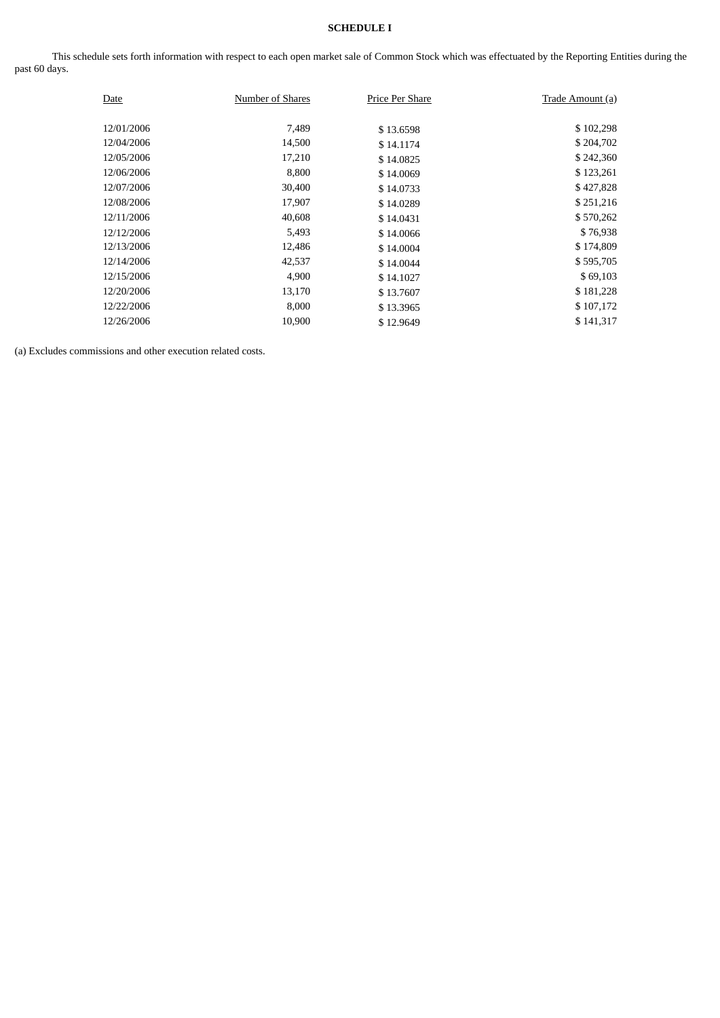# **SCHEDULE I**

This schedule sets forth information with respect to each open market sale of Common Stock which was effectuated by the Reporting Entities during the past 60 days.

| Date       | Number of Shares | Price Per Share | Trade Amount (a) |
|------------|------------------|-----------------|------------------|
|            |                  |                 |                  |
| 12/01/2006 | 7,489            | \$13.6598       | \$102,298        |
| 12/04/2006 | 14,500           | \$14.1174       | \$204,702        |
| 12/05/2006 | 17,210           | \$14.0825       | \$242,360        |
| 12/06/2006 | 8,800            | \$14,0069       | \$123,261        |
| 12/07/2006 | 30,400           | \$14.0733       | \$427,828        |
| 12/08/2006 | 17,907           | \$14.0289       | \$251,216        |
| 12/11/2006 | 40,608           | \$14.0431       | \$570,262        |
| 12/12/2006 | 5,493            | \$14,0066       | \$76,938         |
| 12/13/2006 | 12,486           | \$14.0004       | \$174,809        |
| 12/14/2006 | 42,537           | \$14.0044       | \$595,705        |
| 12/15/2006 | 4,900            | \$14.1027       | \$69,103         |
| 12/20/2006 | 13,170           | \$13.7607       | \$181,228        |
| 12/22/2006 | 8,000            | \$13.3965       | \$107,172        |
| 12/26/2006 | 10,900           | \$12.9649       | \$141,317        |

(a) Excludes commissions and other execution related costs.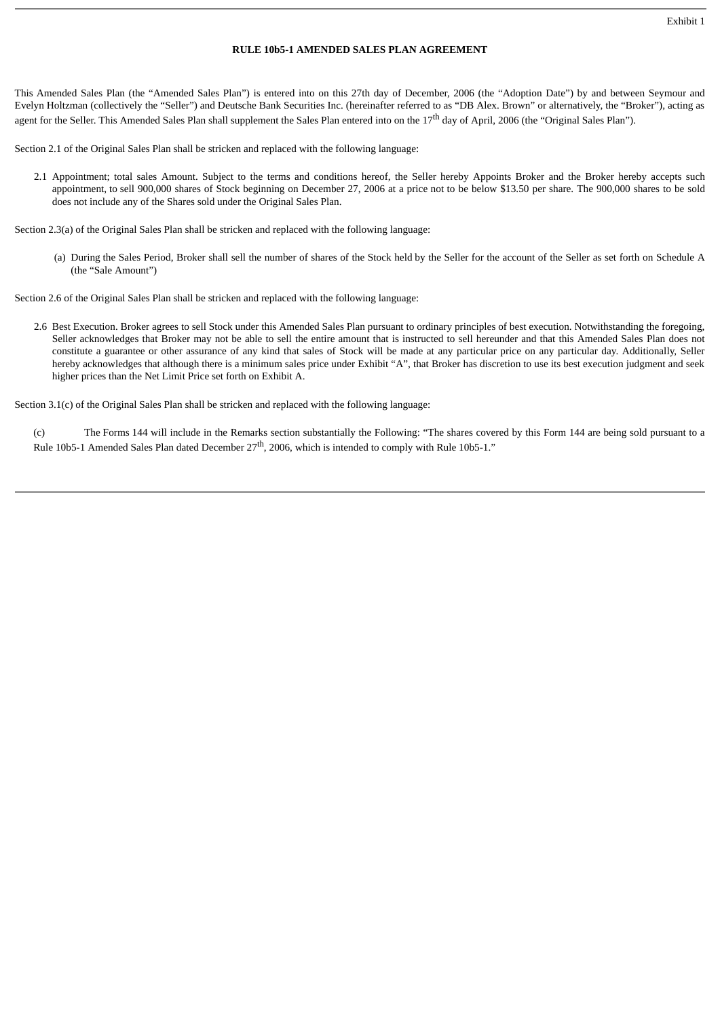## **RULE 10b5-1 AMENDED SALES PLAN AGREEMENT**

This Amended Sales Plan (the "Amended Sales Plan") is entered into on this 27th day of December, 2006 (the "Adoption Date") by and between Seymour and Evelyn Holtzman (collectively the "Seller") and Deutsche Bank Securities Inc. (hereinafter referred to as "DB Alex. Brown" or alternatively, the "Broker"), acting as agent for the Seller. This Amended Sales Plan shall supplement the Sales Plan entered into on the 17<sup>th</sup> day of April, 2006 (the "Original Sales Plan").

Section 2.1 of the Original Sales Plan shall be stricken and replaced with the following language:

2.1 Appointment; total sales Amount. Subject to the terms and conditions hereof, the Seller hereby Appoints Broker and the Broker hereby accepts such appointment, to sell 900,000 shares of Stock beginning on December 27, 2006 at a price not to be below \$13.50 per share. The 900,000 shares to be sold does not include any of the Shares sold under the Original Sales Plan.

Section 2.3(a) of the Original Sales Plan shall be stricken and replaced with the following language:

(a) During the Sales Period, Broker shall sell the number of shares of the Stock held by the Seller for the account of the Seller as set forth on Schedule A (the "Sale Amount")

Section 2.6 of the Original Sales Plan shall be stricken and replaced with the following language:

2.6 Best Execution. Broker agrees to sell Stock under this Amended Sales Plan pursuant to ordinary principles of best execution. Notwithstanding the foregoing, Seller acknowledges that Broker may not be able to sell the entire amount that is instructed to sell hereunder and that this Amended Sales Plan does not constitute a guarantee or other assurance of any kind that sales of Stock will be made at any particular price on any particular day. Additionally, Seller hereby acknowledges that although there is a minimum sales price under Exhibit "A", that Broker has discretion to use its best execution judgment and seek higher prices than the Net Limit Price set forth on Exhibit A.

Section 3.1(c) of the Original Sales Plan shall be stricken and replaced with the following language:

(c) The Forms 144 will include in the Remarks section substantially the Following: "The shares covered by this Form 144 are being sold pursuant to a Rule 10b5-1 Amended Sales Plan dated December 27<sup>th</sup>, 2006, which is intended to comply with Rule 10b5-1."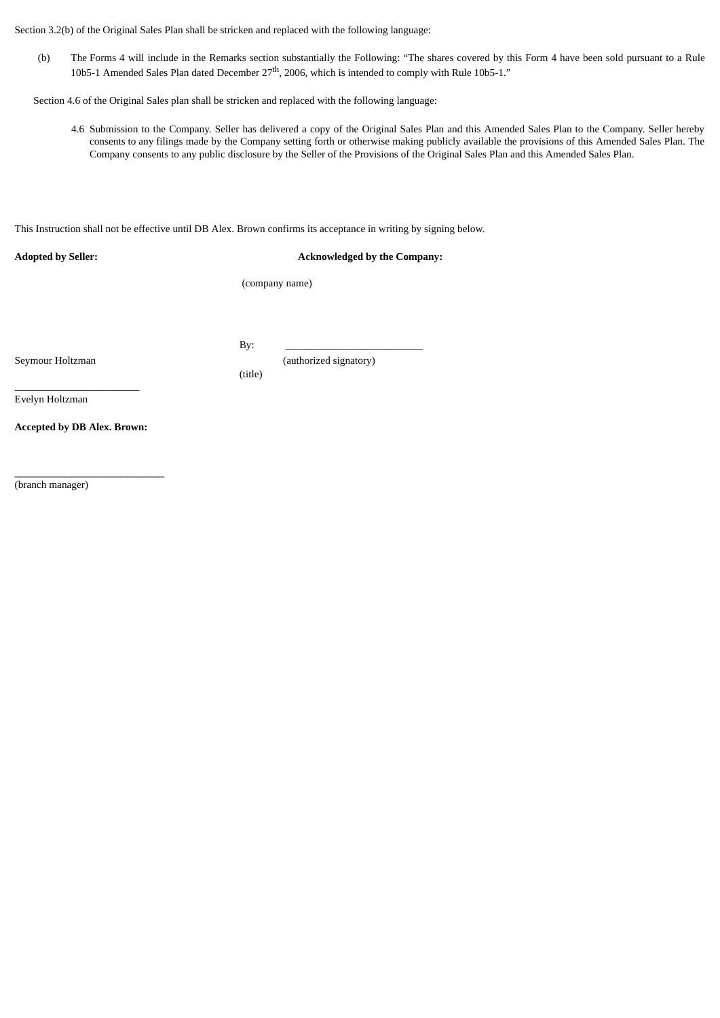Section 3.2(b) of the Original Sales Plan shall be stricken and replaced with the following language:

(b) The Forms 4 will include in the Remarks section substantially the Following: "The shares covered by this Form 4 have been sold pursuant to a Rule 10b5-1 Amended Sales Plan dated December 27<sup>th</sup>, 2006, which is intended to comply with Rule 10b5-1."

Section 4.6 of the Original Sales plan shall be stricken and replaced with the following language:

4.6 Submission to the Company. Seller has delivered a copy of the Original Sales Plan and this Amended Sales Plan to the Company. Seller hereby consents to any filings made by the Company setting forth or otherwise making publicly available the provisions of this Amended Sales Plan. The Company consents to any public disclosure by the Seller of the Provisions of the Original Sales Plan and this Amended Sales Plan.

This Instruction shall not be effective until DB Alex. Brown confirms its acceptance in writing by signing below.

**Adopted by Seller: Acknowledged by the Company:**

(company name)

By: \_\_\_\_\_\_\_\_\_\_\_\_\_\_\_\_\_\_\_\_\_\_

(title)

Seymour Holtzman (authorized signatory)

Evelyn Holtzman

**Accepted by DB Alex. Brown:**

\_\_\_\_\_\_\_\_\_\_\_\_\_\_\_\_\_\_\_\_\_\_\_\_

 $\overline{\phantom{a}}$  , where the contract of the contract of the contract of the contract of the contract of the contract of the contract of the contract of the contract of the contract of the contract of the contract of the contr

(branch manager)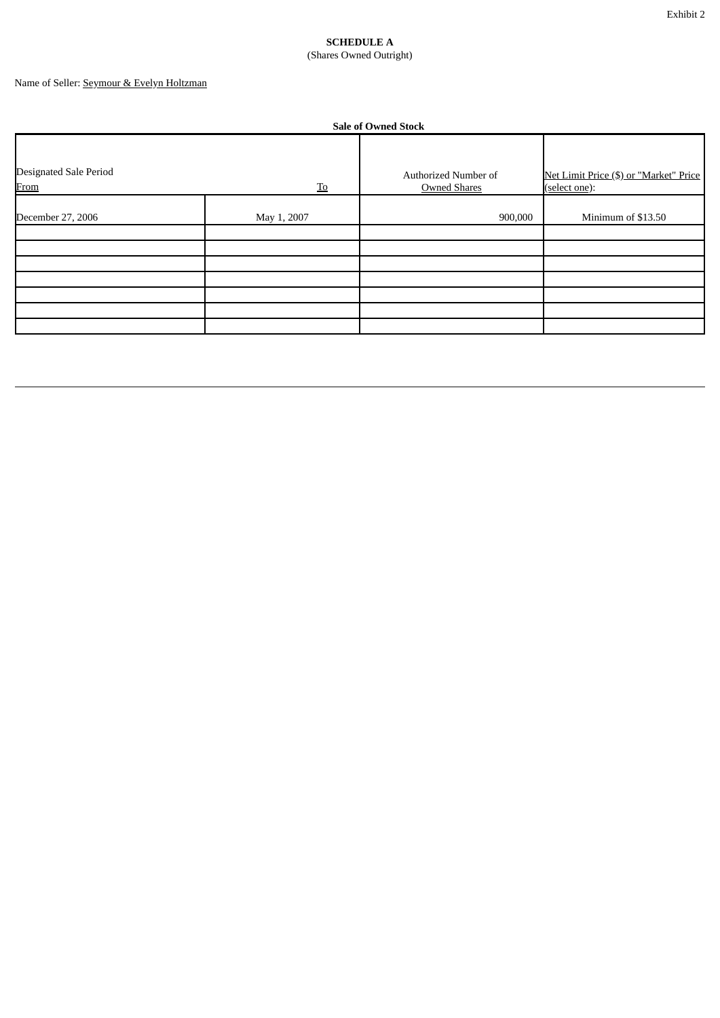## **SCHEDULE A** (Shares Owned Outright)

Name of Seller: Seymour & Evelyn Holtzman

| <b>Sale of Owned Stock</b>     |                                 |                                             |                                                         |  |
|--------------------------------|---------------------------------|---------------------------------------------|---------------------------------------------------------|--|
| Designated Sale Period<br>From | $\underline{\operatorname{To}}$ | Authorized Number of<br><b>Owned Shares</b> | Net Limit Price (\$) or "Market" Price<br>(select one): |  |
| December 27, 2006              | May 1, 2007                     | 900,000                                     | Minimum of \$13.50                                      |  |
|                                |                                 |                                             |                                                         |  |
|                                |                                 |                                             |                                                         |  |
|                                |                                 |                                             |                                                         |  |
|                                |                                 |                                             |                                                         |  |